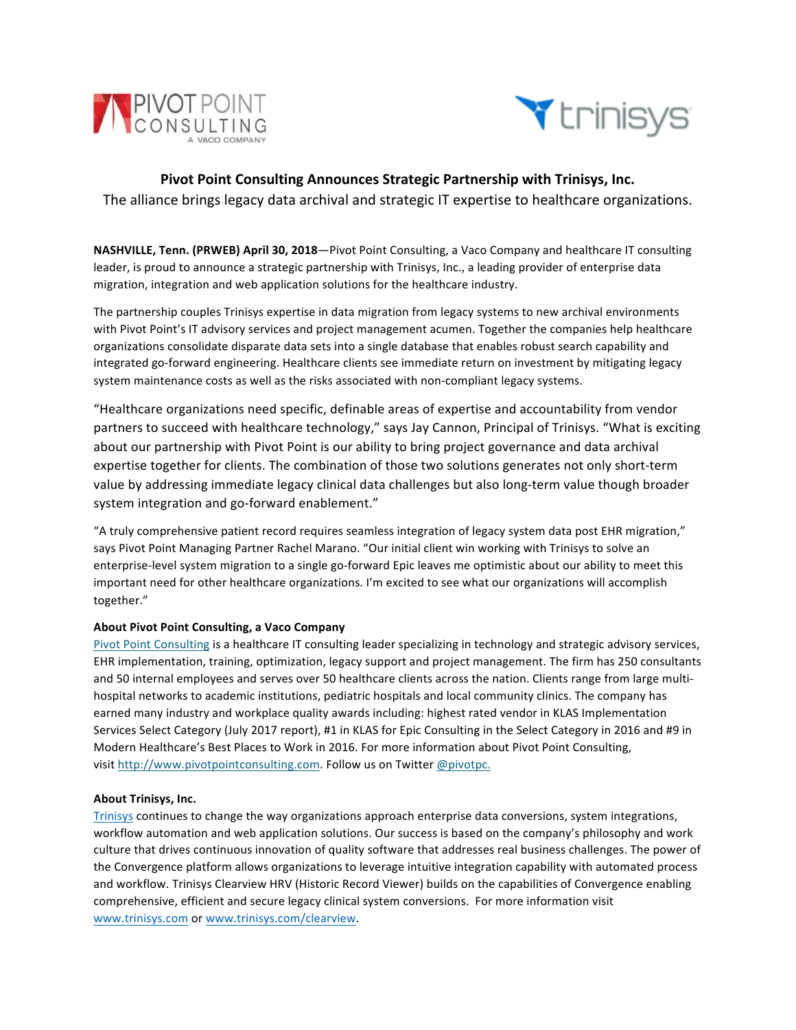



## **Pivot Point Consulting Announces Strategic Partnership with Trinisys, Inc.** The alliance brings legacy data archival and strategic IT expertise to healthcare organizations.

**NASHVILLE, Tenn. (PRWEB) April 30, 2018**—Pivot Point Consulting, a Vaco Company and healthcare IT consulting leader, is proud to announce a strategic partnership with Trinisys, Inc., a leading provider of enterprise data migration, integration and web application solutions for the healthcare industry.

The partnership couples Trinisys expertise in data migration from legacy systems to new archival environments with Pivot Point's IT advisory services and project management acumen. Together the companies help healthcare organizations consolidate disparate data sets into a single database that enables robust search capability and integrated go-forward engineering. Healthcare clients see immediate return on investment by mitigating legacy system maintenance costs as well as the risks associated with non-compliant legacy systems.

"Healthcare organizations need specific, definable areas of expertise and accountability from vendor partners to succeed with healthcare technology," says Jay Cannon, Principal of Trinisys. "What is exciting about our partnership with Pivot Point is our ability to bring project governance and data archival expertise together for clients. The combination of those two solutions generates not only short-term value by addressing immediate legacy clinical data challenges but also long-term value though broader system integration and go-forward enablement."

"A truly comprehensive patient record requires seamless integration of legacy system data post EHR migration," says Pivot Point Managing Partner Rachel Marano. "Our initial client win working with Trinisys to solve an enterprise-level system migration to a single go-forward Epic leaves me optimistic about our ability to meet this important need for other healthcare organizations. I'm excited to see what our organizations will accomplish together."

## **About Pivot Point Consulting, a Vaco Company**

Pivot Point Consulting is a healthcare IT consulting leader specializing in technology and strategic advisory services, EHR implementation, training, optimization, legacy support and project management. The firm has 250 consultants and 50 internal employees and serves over 50 healthcare clients across the nation. Clients range from large multihospital networks to academic institutions, pediatric hospitals and local community clinics. The company has earned many industry and workplace quality awards including: highest rated vendor in KLAS Implementation Services Select Category (July 2017 report), #1 in KLAS for Epic Consulting in the Select Category in 2016 and #9 in Modern Healthcare's Best Places to Work in 2016. For more information about Pivot Point Consulting, visit http://www.pivotpointconsulting.com. Follow us on Twitter @pivotpc.

## **About Trinisys, Inc.**

Trinisys continues to change the way organizations approach enterprise data conversions, system integrations, workflow automation and web application solutions. Our success is based on the company's philosophy and work culture that drives continuous innovation of quality software that addresses real business challenges. The power of the Convergence platform allows organizations to leverage intuitive integration capability with automated process and workflow. Trinisys Clearview HRV (Historic Record Viewer) builds on the capabilities of Convergence enabling comprehensive, efficient and secure legacy clinical system conversions. For more information visit www.trinisys.com or www.trinisys.com/clearview.